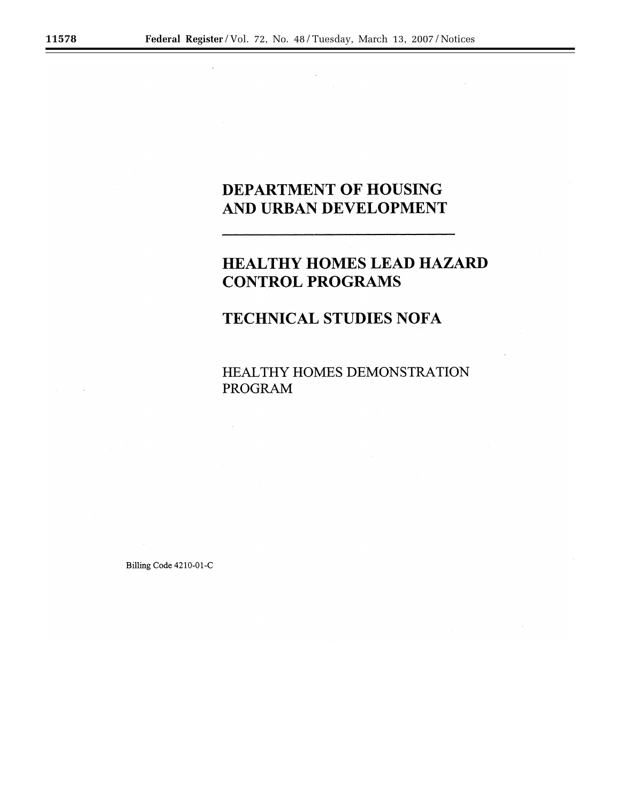# **DEPARTMENT OF HOUSING** AND URBAN DEVELOPMENT

# HEALTHY HOMES LEAD HAZARD **CONTROL PROGRAMS**

# **TECHNICAL STUDIES NOFA**

HEALTHY HOMES DEMONSTRATION **PROGRAM** 

Billing Code 4210-01-C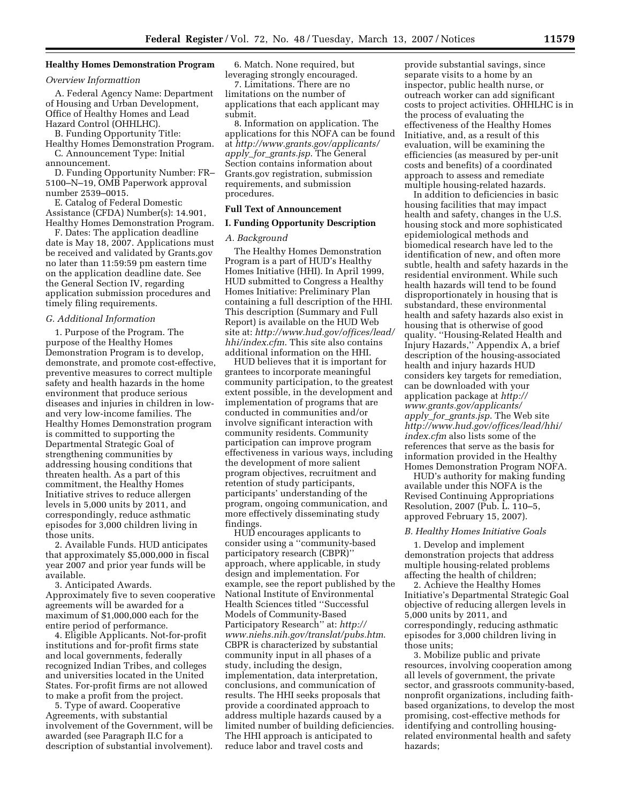#### **Healthy Homes Demonstration Program**

# *Overview Informattion*

A. Federal Agency Name: Department of Housing and Urban Development, Office of Healthy Homes and Lead Hazard Control (OHHLHC).

B. Funding Opportunity Title: Healthy Homes Demonstration Program. C. Announcement Type: Initial announcement.

D. Funding Opportunity Number: FR– 5100–N–19, OMB Paperwork approval number 2539–0015.

E. Catalog of Federal Domestic Assistance (CFDA) Number(s): 14.901, Healthy Homes Demonstration Program.

F. Dates: The application deadline date is May 18, 2007. Applications must be received and validated by Grants.gov no later than 11:59:59 pm eastern time on the application deadline date. See the General Section IV, regarding application submission procedures and timely filing requirements.

#### *G. Additional Information*

1. Purpose of the Program. The purpose of the Healthy Homes Demonstration Program is to develop, demonstrate, and promote cost-effective, preventive measures to correct multiple safety and health hazards in the home environment that produce serious diseases and injuries in children in lowand very low-income families. The Healthy Homes Demonstration program is committed to supporting the Departmental Strategic Goal of strengthening communities by addressing housing conditions that threaten health. As a part of this commitment, the Healthy Homes Initiative strives to reduce allergen levels in 5,000 units by 2011, and correspondingly, reduce asthmatic episodes for 3,000 children living in those units.

2. Available Funds. HUD anticipates that approximately \$5,000,000 in fiscal year 2007 and prior year funds will be available.

3. Anticipated Awards. Approximately five to seven cooperative agreements will be awarded for a maximum of \$1,000,000 each for the entire period of performance.

4. Eligible Applicants. Not-for-profit institutions and for-profit firms state and local governments, federally recognized Indian Tribes, and colleges and universities located in the United States. For-profit firms are not allowed to make a profit from the project.

5. Type of award. Cooperative Agreements, with substantial involvement of the Government, will be awarded (see Paragraph II.C for a description of substantial involvement).

6. Match. None required, but leveraging strongly encouraged.

7. Limitations. There are no limitations on the number of applications that each applicant may submit.

8. Information on application. The applications for this NOFA can be found at *http://www.grants.gov/applicants/ apply*\_*for*\_*grants.jsp*. The General Section contains information about Grants.gov registration, submission requirements, and submission procedures.

# **Full Text of Announcement**

#### **I. Funding Opportunity Description**

# *A. Background*

The Healthy Homes Demonstration Program is a part of HUD's Healthy Homes Initiative (HHI). In April 1999, HUD submitted to Congress a Healthy Homes Initiative: Preliminary Plan containing a full description of the HHI. This description (Summary and Full Report) is available on the HUD Web site at: *http://www.hud.gov/offices/lead/ hhi/index.cfm*. This site also contains additional information on the HHI.

HUD believes that it is important for grantees to incorporate meaningful community participation, to the greatest extent possible, in the development and implementation of programs that are conducted in communities and/or involve significant interaction with community residents. Community participation can improve program effectiveness in various ways, including the development of more salient program objectives, recruitment and retention of study participants, participants' understanding of the program, ongoing communication, and more effectively disseminating study findings.

HUD encourages applicants to consider using a ''community-based participatory research (CBPR)'' approach, where applicable, in study design and implementation. For example, see the report published by the National Institute of Environmental Health Sciences titled ''Successful Models of Community-Based Participatory Research'' at: *http:// www.niehs.nih.gov/translat/pubs.htm*. CBPR is characterized by substantial community input in all phases of a study, including the design, implementation, data interpretation, conclusions, and communication of results. The HHI seeks proposals that provide a coordinated approach to address multiple hazards caused by a limited number of building deficiencies. The HHI approach is anticipated to reduce labor and travel costs and

provide substantial savings, since separate visits to a home by an inspector, public health nurse, or outreach worker can add significant costs to project activities. OHHLHC is in the process of evaluating the effectiveness of the Healthy Homes Initiative, and, as a result of this evaluation, will be examining the efficiencies (as measured by per-unit costs and benefits) of a coordinated approach to assess and remediate multiple housing-related hazards.

In addition to deficiencies in basic housing facilities that may impact health and safety, changes in the U.S. housing stock and more sophisticated epidemiological methods and biomedical research have led to the identification of new, and often more subtle, health and safety hazards in the residential environment. While such health hazards will tend to be found disproportionately in housing that is substandard, these environmental health and safety hazards also exist in housing that is otherwise of good quality. ''Housing-Related Health and Injury Hazards,'' Appendix A, a brief description of the housing-associated health and injury hazards HUD considers key targets for remediation, can be downloaded with your application package at *http:// www.grants.gov/applicants/ apply*\_*for*\_*grants.jsp*. The Web site *http://www.hud.gov/offices/lead/hhi/ index.cfm* also lists some of the references that serve as the basis for information provided in the Healthy Homes Demonstration Program NOFA.

HUD's authority for making funding available under this NOFA is the Revised Continuing Appropriations Resolution, 2007 (Pub. L. 110–5, approved February 15, 2007).

#### *B. Healthy Homes Initiative Goals*

1. Develop and implement demonstration projects that address multiple housing-related problems affecting the health of children;

2. Achieve the Healthy Homes Initiative's Departmental Strategic Goal objective of reducing allergen levels in 5,000 units by 2011, and correspondingly, reducing asthmatic episodes for 3,000 children living in those units;

3. Mobilize public and private resources, involving cooperation among all levels of government, the private sector, and grassroots community-based, nonprofit organizations, including faithbased organizations, to develop the most promising, cost-effective methods for identifying and controlling housingrelated environmental health and safety hazards;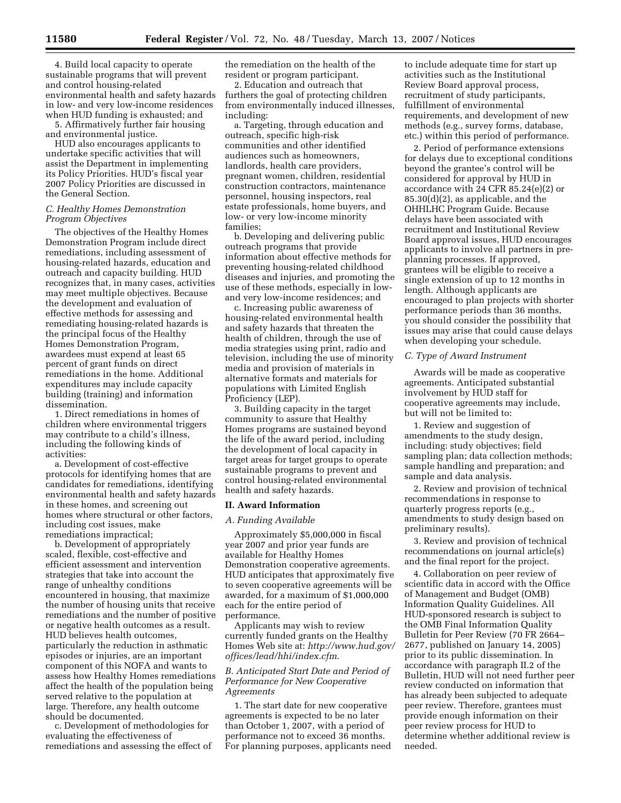4. Build local capacity to operate sustainable programs that will prevent and control housing-related environmental health and safety hazards in low- and very low-income residences when HUD funding is exhausted; and

5. Affirmatively further fair housing and environmental justice.

HUD also encourages applicants to undertake specific activities that will assist the Department in implementing its Policy Priorities. HUD's fiscal year 2007 Policy Priorities are discussed in the General Section.

# *C. Healthy Homes Demonstration Program Objectives*

The objectives of the Healthy Homes Demonstration Program include direct remediations, including assessment of housing-related hazards, education and outreach and capacity building. HUD recognizes that, in many cases, activities may meet multiple objectives. Because the development and evaluation of effective methods for assessing and remediating housing-related hazards is the principal focus of the Healthy Homes Demonstration Program, awardees must expend at least 65 percent of grant funds on direct remediations in the home. Additional expenditures may include capacity building (training) and information dissemination.

1. Direct remediations in homes of children where environmental triggers may contribute to a child's illness, including the following kinds of activities:

a. Development of cost-effective protocols for identifying homes that are candidates for remediations, identifying environmental health and safety hazards in these homes, and screening out homes where structural or other factors, including cost issues, make remediations impractical;

b. Development of appropriately scaled, flexible, cost-effective and efficient assessment and intervention strategies that take into account the range of unhealthy conditions encountered in housing, that maximize the number of housing units that receive remediations and the number of positive or negative health outcomes as a result. HUD believes health outcomes, particularly the reduction in asthmatic episodes or injuries, are an important component of this NOFA and wants to assess how Healthy Homes remediations affect the health of the population being served relative to the population at large. Therefore, any health outcome should be documented.

c. Development of methodologies for evaluating the effectiveness of remediations and assessing the effect of the remediation on the health of the resident or program participant.

2. Education and outreach that furthers the goal of protecting children from environmentally induced illnesses, including:

a. Targeting, through education and outreach, specific high-risk communities and other identified audiences such as homeowners, landlords, health care providers, pregnant women, children, residential construction contractors, maintenance personnel, housing inspectors, real estate professionals, home buyers, and low- or very low-income minority families;

b. Developing and delivering public outreach programs that provide information about effective methods for preventing housing-related childhood diseases and injuries, and promoting the use of these methods, especially in lowand very low-income residences; and

c. Increasing public awareness of housing-related environmental health and safety hazards that threaten the health of children, through the use of media strategies using print, radio and television, including the use of minority media and provision of materials in alternative formats and materials for populations with Limited English Proficiency (LEP).

3. Building capacity in the target community to assure that Healthy Homes programs are sustained beyond the life of the award period, including the development of local capacity in target areas for target groups to operate sustainable programs to prevent and control housing-related environmental health and safety hazards.

#### **II. Award Information**

# *A. Funding Available*

Approximately \$5,000,000 in fiscal year 2007 and prior year funds are available for Healthy Homes Demonstration cooperative agreements. HUD anticipates that approximately five to seven cooperative agreements will be awarded, for a maximum of \$1,000,000 each for the entire period of performance.

Applicants may wish to review currently funded grants on the Healthy Homes Web site at: *http://www.hud.gov/ offices/lead/hhi/index.cfm*.

### *B. Anticipated Start Date and Period of Performance for New Cooperative Agreements*

1. The start date for new cooperative agreements is expected to be no later than October 1, 2007, with a period of performance not to exceed 36 months. For planning purposes, applicants need

to include adequate time for start up activities such as the Institutional Review Board approval process, recruitment of study participants, fulfillment of environmental requirements, and development of new methods (e.g., survey forms, database, etc.) within this period of performance.

2. Period of performance extensions for delays due to exceptional conditions beyond the grantee's control will be considered for approval by HUD in accordance with 24 CFR 85.24(e)(2) or 85.30(d)(2), as applicable, and the OHHLHC Program Guide. Because delays have been associated with recruitment and Institutional Review Board approval issues, HUD encourages applicants to involve all partners in preplanning processes. If approved, grantees will be eligible to receive a single extension of up to 12 months in length. Although applicants are encouraged to plan projects with shorter performance periods than 36 months, you should consider the possibility that issues may arise that could cause delays when developing your schedule.

#### *C. Type of Award Instrument*

Awards will be made as cooperative agreements. Anticipated substantial involvement by HUD staff for cooperative agreements may include, but will not be limited to:

1. Review and suggestion of amendments to the study design, including: study objectives; field sampling plan; data collection methods; sample handling and preparation; and sample and data analysis.

2. Review and provision of technical recommendations in response to quarterly progress reports (e.g., amendments to study design based on preliminary results).

3. Review and provision of technical recommendations on journal article(s) and the final report for the project.

4. Collaboration on peer review of scientific data in accord with the Office of Management and Budget (OMB) Information Quality Guidelines. All HUD-sponsored research is subject to the OMB Final Information Quality Bulletin for Peer Review (70 FR 2664– 2677, published on January 14, 2005) prior to its public dissemination. In accordance with paragraph II.2 of the Bulletin, HUD will not need further peer review conducted on information that has already been subjected to adequate peer review. Therefore, grantees must provide enough information on their peer review process for HUD to determine whether additional review is needed.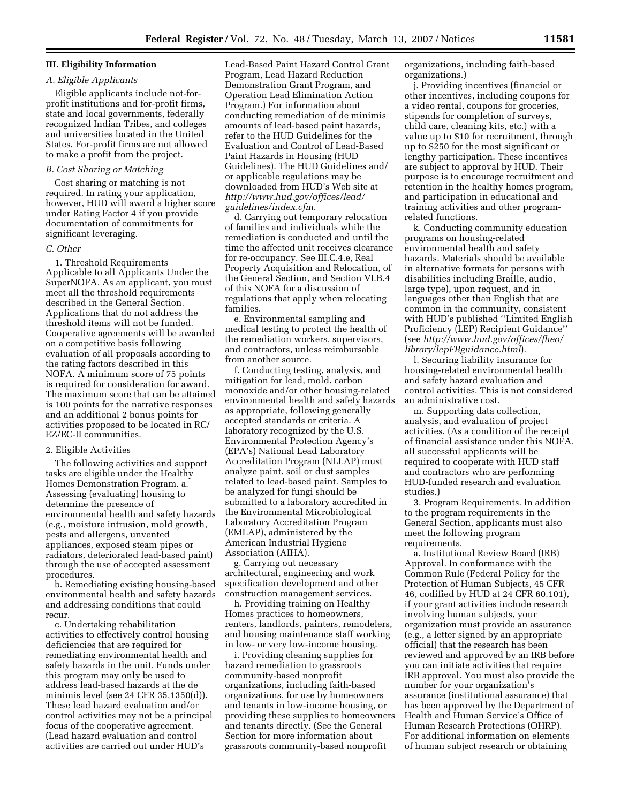# **III. Eligibility Information**

# *A. Eligible Applicants*

Eligible applicants include not-forprofit institutions and for-profit firms, state and local governments, federally recognized Indian Tribes, and colleges and universities located in the United States. For-profit firms are not allowed to make a profit from the project.

#### *B. Cost Sharing or Matching*

Cost sharing or matching is not required. In rating your application, however, HUD will award a higher score under Rating Factor 4 if you provide documentation of commitments for significant leveraging.

#### *C. Other*

1. Threshold Requirements Applicable to all Applicants Under the SuperNOFA. As an applicant, you must meet all the threshold requirements described in the General Section. Applications that do not address the threshold items will not be funded. Cooperative agreements will be awarded on a competitive basis following evaluation of all proposals according to the rating factors described in this NOFA. A minimum score of 75 points is required for consideration for award. The maximum score that can be attained is 100 points for the narrative responses and an additional 2 bonus points for activities proposed to be located in RC/ EZ/EC-II communities.

### 2. Eligible Activities

The following activities and support tasks are eligible under the Healthy Homes Demonstration Program. a. Assessing (evaluating) housing to determine the presence of environmental health and safety hazards (e.g., moisture intrusion, mold growth, pests and allergens, unvented appliances, exposed steam pipes or radiators, deteriorated lead-based paint) through the use of accepted assessment procedures.

b. Remediating existing housing-based environmental health and safety hazards and addressing conditions that could recur.

c. Undertaking rehabilitation activities to effectively control housing deficiencies that are required for remediating environmental health and safety hazards in the unit. Funds under this program may only be used to address lead-based hazards at the de minimis level (see 24 CFR 35.1350(d)). These lead hazard evaluation and/or control activities may not be a principal focus of the cooperative agreement. (Lead hazard evaluation and control activities are carried out under HUD's

Lead-Based Paint Hazard Control Grant Program, Lead Hazard Reduction Demonstration Grant Program, and Operation Lead Elimination Action Program.) For information about conducting remediation of de minimis amounts of lead-based paint hazards, refer to the HUD Guidelines for the Evaluation and Control of Lead-Based Paint Hazards in Housing (HUD Guidelines). The HUD Guidelines and/ or applicable regulations may be downloaded from HUD's Web site at *http://www.hud.gov/offices/lead/ guidelines/index.cfm*.

d. Carrying out temporary relocation of families and individuals while the remediation is conducted and until the time the affected unit receives clearance for re-occupancy. See III.C.4.e, Real Property Acquisition and Relocation, of the General Section, and Section VI.B.4 of this NOFA for a discussion of regulations that apply when relocating families.

e. Environmental sampling and medical testing to protect the health of the remediation workers, supervisors, and contractors, unless reimbursable from another source.

f. Conducting testing, analysis, and mitigation for lead, mold, carbon monoxide and/or other housing-related environmental health and safety hazards as appropriate, following generally accepted standards or criteria. A laboratory recognized by the U.S. Environmental Protection Agency's (EPA's) National Lead Laboratory Accreditation Program (NLLAP) must analyze paint, soil or dust samples related to lead-based paint. Samples to be analyzed for fungi should be submitted to a laboratory accredited in the Environmental Microbiological Laboratory Accreditation Program (EMLAP), administered by the American Industrial Hygiene Association (AIHA).

g. Carrying out necessary architectural, engineering and work specification development and other construction management services.

h. Providing training on Healthy Homes practices to homeowners, renters, landlords, painters, remodelers, and housing maintenance staff working in low- or very low-income housing.

i. Providing cleaning supplies for hazard remediation to grassroots community-based nonprofit organizations, including faith-based organizations, for use by homeowners and tenants in low-income housing, or providing these supplies to homeowners and tenants directly. (See the General Section for more information about grassroots community-based nonprofit

organizations, including faith-based organizations.)

j. Providing incentives (financial or other incentives, including coupons for a video rental, coupons for groceries, stipends for completion of surveys, child care, cleaning kits, etc.) with a value up to \$10 for recruitment, through up to \$250 for the most significant or lengthy participation. These incentives are subject to approval by HUD. Their purpose is to encourage recruitment and retention in the healthy homes program, and participation in educational and training activities and other programrelated functions.

k. Conducting community education programs on housing-related environmental health and safety hazards. Materials should be available in alternative formats for persons with disabilities including Braille, audio, large type), upon request, and in languages other than English that are common in the community, consistent with HUD's published ''Limited English Proficiency (LEP) Recipient Guidance'' (see *http://www.hud.gov/offices/fheo/ library/lepFRguidance.html*).

l. Securing liability insurance for housing-related environmental health and safety hazard evaluation and control activities. This is not considered an administrative cost.

m. Supporting data collection, analysis, and evaluation of project activities. (As a condition of the receipt of financial assistance under this NOFA, all successful applicants will be required to cooperate with HUD staff and contractors who are performing HUD-funded research and evaluation studies.)

3. Program Requirements. In addition to the program requirements in the General Section, applicants must also meet the following program requirements.

a. Institutional Review Board (IRB) Approval. In conformance with the Common Rule (Federal Policy for the Protection of Human Subjects, 45 CFR 46, codified by HUD at 24 CFR 60.101), if your grant activities include research involving human subjects, your organization must provide an assurance (e.g., a letter signed by an appropriate official) that the research has been reviewed and approved by an IRB before you can initiate activities that require IRB approval. You must also provide the number for your organization's assurance (institutional assurance) that has been approved by the Department of Health and Human Service's Office of Human Research Protections (OHRP). For additional information on elements of human subject research or obtaining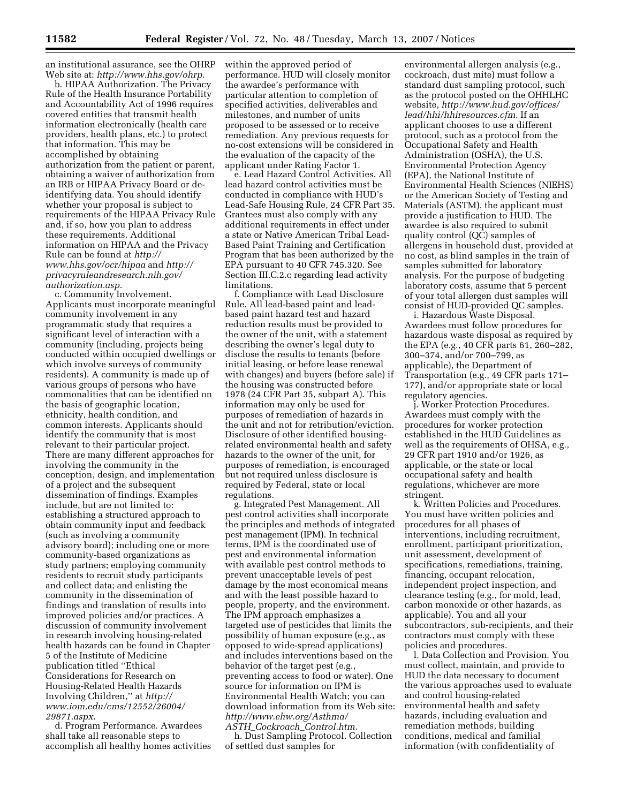an institutional assurance, see the OHRP Web site at: *http://www.hhs.gov/ohrp*.

b. HIPAA Authorization. The Privacy Rule of the Health Insurance Portability and Accountability Act of 1996 requires covered entities that transmit health information electronically (health care providers, health plans, etc.) to protect that information. This may be accomplished by obtaining authorization from the patient or parent, obtaining a waiver of authorization from an IRB or HIPAA Privacy Board or deidentifying data. You should identify whether your proposal is subject to requirements of the HIPAA Privacy Rule and, if so, how you plan to address these requirements. Additional information on HIPAA and the Privacy Rule can be found at *http:// www.hhs.gov/ocr/hipaa* and *http:// privacyruleandresearch.nih.gov/ authorization.asp*.

c. Community Involvement. Applicants must incorporate meaningful community involvement in any programmatic study that requires a significant level of interaction with a community (including, projects being conducted within occupied dwellings or which involve surveys of community residents). A community is made up of various groups of persons who have commonalities that can be identified on the basis of geographic location, ethnicity, health condition, and common interests. Applicants should identify the community that is most relevant to their particular project. There are many different approaches for involving the community in the conception, design, and implementation of a project and the subsequent dissemination of findings. Examples include, but are not limited to: establishing a structured approach to obtain community input and feedback (such as involving a community advisory board); including one or more community-based organizations as study partners; employing community residents to recruit study participants and collect data; and enlisting the community in the dissemination of findings and translation of results into improved policies and/or practices. A discussion of community involvement in research involving housing-related health hazards can be found in Chapter 5 of the Institute of Medicine publication titled ''Ethical Considerations for Research on Housing-Related Health Hazards Involving Children,'' at *http:// www.iom.edu/cms/12552/26004/ 29871.aspx*.

d. Program Performance. Awardees shall take all reasonable steps to accomplish all healthy homes activities

within the approved period of performance. HUD will closely monitor the awardee's performance with particular attention to completion of specified activities, deliverables and milestones, and number of units proposed to be assessed or to receive remediation. Any previous requests for no-cost extensions will be considered in the evaluation of the capacity of the applicant under Rating Factor 1.

e. Lead Hazard Control Activities. All lead hazard control activities must be conducted in compliance with HUD's Lead-Safe Housing Rule, 24 CFR Part 35. Grantees must also comply with any additional requirements in effect under a state or Native American Tribal Lead-Based Paint Training and Certification Program that has been authorized by the EPA pursuant to 40 CFR 745.320. See Section III.C.2.c regarding lead activity limitations.

f. Compliance with Lead Disclosure Rule. All lead-based paint and leadbased paint hazard test and hazard reduction results must be provided to the owner of the unit, with a statement describing the owner's legal duty to disclose the results to tenants (before initial leasing, or before lease renewal with changes) and buyers (before sale) if the housing was constructed before 1978 (24 CFR Part 35, subpart A). This information may only be used for purposes of remediation of hazards in the unit and not for retribution/eviction. Disclosure of other identified housingrelated environmental health and safety hazards to the owner of the unit, for purposes of remediation, is encouraged but not required unless disclosure is required by Federal, state or local regulations.

g. Integrated Pest Management. All pest control activities shall incorporate the principles and methods of integrated pest management (IPM). In technical terms, IPM is the coordinated use of pest and environmental information with available pest control methods to prevent unacceptable levels of pest damage by the most economical means and with the least possible hazard to people, property, and the environment. The IPM approach emphasizes a targeted use of pesticides that limits the possibility of human exposure (e.g., as opposed to wide-spread applications) and includes interventions based on the behavior of the target pest (e.g., preventing access to food or water). One source for information on IPM is Environmental Health Watch; you can download information from its Web site: *http://www.ehw.org/Asthma/ ASTH*\_*Cockroach*\_*Control.htm*.

h. Dust Sampling Protocol. Collection of settled dust samples for

environmental allergen analysis (e.g., cockroach, dust mite) must follow a standard dust sampling protocol, such as the protocol posted on the OHHLHC website, *http://www.hud.gov/offices/ lead/hhi/hhiresources.cfm*. If an applicant chooses to use a different protocol, such as a protocol from the Occupational Safety and Health Administration (OSHA), the U.S. Environmental Protection Agency (EPA), the National Institute of Environmental Health Sciences (NIEHS) or the American Society of Testing and Materials (ASTM), the applicant must provide a justification to HUD. The awardee is also required to submit quality control (QC) samples of allergens in household dust, provided at no cost, as blind samples in the train of samples submitted for laboratory analysis. For the purpose of budgeting laboratory costs, assume that 5 percent of your total allergen dust samples will consist of HUD-provided QC samples.

i. Hazardous Waste Disposal. Awardees must follow procedures for hazardous waste disposal as required by the EPA (e.g., 40 CFR parts 61, 260–282, 300–374, and/or 700–799, as applicable), the Department of Transportation (e.g., 49 CFR parts 171– 177), and/or appropriate state or local regulatory agencies.

j. Worker Protection Procedures. Awardees must comply with the procedures for worker protection established in the HUD Guidelines as well as the requirements of OHSA, e.g., 29 CFR part 1910 and/or 1926, as applicable, or the state or local occupational safety and health regulations, whichever are more stringent.

k. Written Policies and Procedures. You must have written policies and procedures for all phases of interventions, including recruitment, enrollment, participant prioritization, unit assessment, development of specifications, remediations, training, financing, occupant relocation, independent project inspection, and clearance testing (e.g., for mold, lead, carbon monoxide or other hazards, as applicable). You and all your subcontractors, sub-recipients, and their contractors must comply with these policies and procedures.

l. Data Collection and Provision. You must collect, maintain, and provide to HUD the data necessary to document the various approaches used to evaluate and control housing-related environmental health and safety hazards, including evaluation and remediation methods, building conditions, medical and familial information (with confidentiality of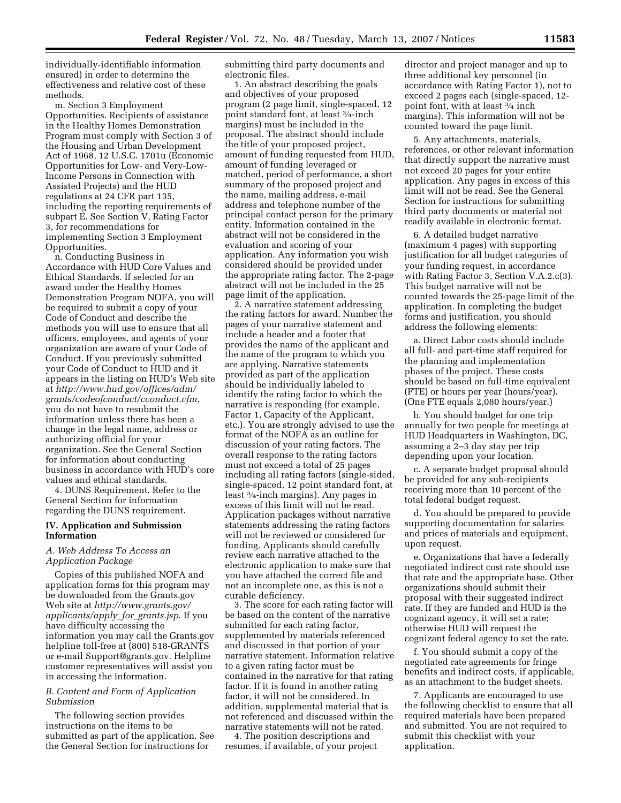individually-identifiable information ensured) in order to determine the effectiveness and relative cost of these methods.

m. Section 3 Employment Opportunities. Recipients of assistance in the Healthy Homes Demonstration Program must comply with Section 3 of the Housing and Urban Development Act of 1968, 12 U.S.C. 1701u (Economic Opportunities for Low- and Very-Low-Income Persons in Connection with Assisted Projects) and the HUD regulations at 24 CFR part 135, including the reporting requirements of subpart E. See Section V, Rating Factor 3, for recommendations for implementing Section 3 Employment Opportunities.

n. Conducting Business in Accordance with HUD Core Values and Ethical Standards. If selected for an award under the Healthy Homes Demonstration Program NOFA, you will be required to submit a copy of your Code of Conduct and describe the methods you will use to ensure that all officers, employees, and agents of your organization are aware of your Code of Conduct. If you previously submitted your Code of Conduct to HUD and it appears in the listing on HUD's Web site at *http://www.hud.gov/offices/adm/ grants/codeofconduct/cconduct.cfm*, you do not have to resubmit the information unless there has been a change in the legal name, address or authorizing official for your organization. See the General Section for information about conducting business in accordance with HUD's core values and ethical standards.

4. DUNS Requirement. Refer to the General Section for information regarding the DUNS requirement.

# **IV. Application and Submission Information**

# *A. Web Address To Access an Application Package*

Copies of this published NOFA and application forms for this program may be downloaded from the Grants.gov Web site at *http://www.grants.gov/ applicants/apply*\_*for*\_*grants.jsp*. If you have difficulty accessing the information you may call the Grants.gov helpline toll-free at (800) 518-GRANTS or e-mail Support@grants.gov. Helpline customer representatives will assist you in accessing the information.

# *B. Content and Form of Application Submission*

The following section provides instructions on the items to be submitted as part of the application. See the General Section for instructions for

submitting third party documents and electronic files.

1. An abstract describing the goals and objectives of your proposed program (2 page limit, single-spaced, 12 point standard font, at least 3⁄4-inch margins) must be included in the proposal. The abstract should include the title of your proposed project, amount of funding requested from HUD, amount of funding leveraged or matched, period of performance, a short summary of the proposed project and the name, mailing address, e-mail address and telephone number of the principal contact person for the primary entity. Information contained in the abstract will not be considered in the evaluation and scoring of your application. Any information you wish considered should be provided under the appropriate rating factor. The 2-page abstract will not be included in the 25 page limit of the application.

2. A narrative statement addressing the rating factors for award. Number the pages of your narrative statement and include a header and a footer that provides the name of the applicant and the name of the program to which you are applying. Narrative statements provided as part of the application should be individually labeled to identify the rating factor to which the narrative is responding (for example, Factor 1, Capacity of the Applicant, etc.). You are strongly advised to use the format of the NOFA as an outline for discussion of your rating factors. The overall response to the rating factors must not exceed a total of 25 pages including all rating factors (single-sided, single-spaced, 12 point standard font, at least 3⁄4-inch margins). Any pages in excess of this limit will not be read. Application packages without narrative statements addressing the rating factors will not be reviewed or considered for funding. Applicants should carefully review each narrative attached to the electronic application to make sure that you have attached the correct file and not an incomplete one, as this is not a curable deficiency.

3. The score for each rating factor will be based on the content of the narrative submitted for each rating factor, supplemented by materials referenced and discussed in that portion of your narrative statement. Information relative to a given rating factor must be contained in the narrative for that rating factor. If it is found in another rating factor, it will not be considered. In addition, supplemental material that is not referenced and discussed within the narrative statements will not be rated.

4. The position descriptions and resumes, if available, of your project

director and project manager and up to three additional key personnel (in accordance with Rating Factor 1), not to exceed 2 pages each (single-spaced, 12 point font, with at least 3⁄4 inch margins). This information will not be counted toward the page limit.

5. Any attachments, materials, references, or other relevant information that directly support the narrative must not exceed 20 pages for your entire application. Any pages in excess of this limit will not be read. See the General Section for instructions for submitting third party documents or material not readily available in electronic format.

6. A detailed budget narrative (maximum 4 pages) with supporting justification for all budget categories of your funding request, in accordance with Rating Factor 3, Section V.A.2.c(3). This budget narrative will not be counted towards the 25-page limit of the application. In completing the budget forms and justification, you should address the following elements:

a. Direct Labor costs should include all full- and part-time staff required for the planning and implementation phases of the project. These costs should be based on full-time equivalent (FTE) or hours per year (hours/year). (One FTE equals 2,080 hours/year.)

b. You should budget for one trip annually for two people for meetings at HUD Headquarters in Washington, DC, assuming a 2–3 day stay per trip depending upon your location.

c. A separate budget proposal should be provided for any sub-recipients receiving more than 10 percent of the total federal budget request.

d. You should be prepared to provide supporting documentation for salaries and prices of materials and equipment, upon request.

e. Organizations that have a federally negotiated indirect cost rate should use that rate and the appropriate base. Other organizations should submit their proposal with their suggested indirect rate. If they are funded and HUD is the cognizant agency, it will set a rate; otherwise HUD will request the cognizant federal agency to set the rate.

f. You should submit a copy of the negotiated rate agreements for fringe benefits and indirect costs, if applicable, as an attachment to the budget sheets.

7. Applicants are encouraged to use the following checklist to ensure that all required materials have been prepared and submitted. You are not required to submit this checklist with your application.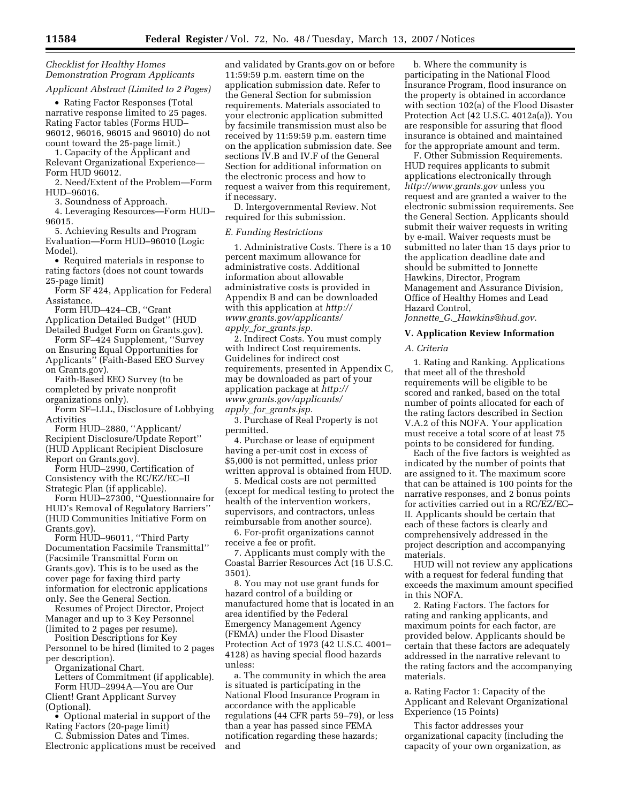*Checklist for Healthy Homes Demonstration Program Applicants Applicant Abstract (Limited to 2 Pages)* 

• Rating Factor Responses (Total narrative response limited to 25 pages. Rating Factor tables (Forms HUD– 96012, 96016, 96015 and 96010) do not count toward the 25-page limit.)

1. Capacity of the Applicant and Relevant Organizational Experience— Form HUD 96012.

2. Need/Extent of the Problem—Form HUD–96016.

3. Soundness of Approach.

4. Leveraging Resources—Form HUD– 96015.

5. Achieving Results and Program Evaluation—Form HUD–96010 (Logic Model).

• Required materials in response to rating factors (does not count towards 25-page limit)

Form SF 424, Application for Federal Assistance.

Form HUD–424–CB, ''Grant Application Detailed Budget'' (HUD

Detailed Budget Form on Grants.gov). Form SF–424 Supplement, ''Survey on Ensuring Equal Opportunities for Applicants'' (Faith-Based EEO Survey

on Grants.gov). Faith-Based EEO Survey (to be

completed by private nonprofit organizations only).

Form SF–LLL, Disclosure of Lobbying Activities

Form HUD–2880, ''Applicant/ Recipient Disclosure/Update Report'' (HUD Applicant Recipient Disclosure Report on Grants.gov).

Form HUD–2990, Certification of Consistency with the RC/EZ/EC–II Strategic Plan (if applicable).

Form HUD–27300, ''Questionnaire for HUD's Removal of Regulatory Barriers'' (HUD Communities Initiative Form on Grants.gov).

Form HUD–96011, ''Third Party Documentation Facsimile Transmittal'' (Facsimile Transmittal Form on Grants.gov). This is to be used as the cover page for faxing third party information for electronic applications only. See the General Section.

Resumes of Project Director, Project Manager and up to 3 Key Personnel (limited to 2 pages per resume).

Position Descriptions for Key Personnel to be hired (limited to 2 pages per description).

Organizational Chart.

Letters of Commitment (if applicable). Form HUD–2994A—You are Our

Client! Grant Applicant Survey (Optional).

• Optional material in support of the Rating Factors (20-page limit)

C. Submission Dates and Times. Electronic applications must be received

and validated by Grants.gov on or before 11:59:59 p.m. eastern time on the application submission date. Refer to the General Section for submission requirements. Materials associated to your electronic application submitted by facsimile transmission must also be received by 11:59:59 p.m. eastern time on the application submission date. See sections IV.B and IV.F of the General Section for additional information on the electronic process and how to request a waiver from this requirement, if necessary.

D. Intergovernmental Review. Not required for this submission.

#### *E. Funding Restrictions*

1. Administrative Costs. There is a 10 percent maximum allowance for administrative costs. Additional information about allowable administrative costs is provided in Appendix B and can be downloaded with this application at *http:// www.grants.gov/applicants/ apply*\_*for*\_*grants.jsp.* 

2. Indirect Costs. You must comply with Indirect Cost requirements. Guidelines for indirect cost requirements, presented in Appendix C, may be downloaded as part of your application package at *http:// www.grants.gov/applicants/ apply*\_*for*\_*grants.jsp.* 

3. Purchase of Real Property is not permitted.

4. Purchase or lease of equipment having a per-unit cost in excess of \$5,000 is not permitted, unless prior written approval is obtained from HUD.

5. Medical costs are not permitted (except for medical testing to protect the health of the intervention workers, supervisors, and contractors, unless reimbursable from another source).

6. For-profit organizations cannot receive a fee or profit.

7. Applicants must comply with the Coastal Barrier Resources Act (16 U.S.C. 3501).

8. You may not use grant funds for hazard control of a building or manufactured home that is located in an area identified by the Federal Emergency Management Agency (FEMA) under the Flood Disaster Protection Act of 1973 (42 U.S.C. 4001– 4128) as having special flood hazards unless:

a. The community in which the area is situated is participating in the National Flood Insurance Program in accordance with the applicable regulations (44 CFR parts 59–79), or less than a year has passed since FEMA notification regarding these hazards; and

b. Where the community is participating in the National Flood Insurance Program, flood insurance on the property is obtained in accordance with section 102(a) of the Flood Disaster Protection Act (42 U.S.C. 4012a(a)). You are responsible for assuring that flood insurance is obtained and maintained for the appropriate amount and term.

F. Other Submission Requirements. HUD requires applicants to submit applications electronically through *http://www.grants.gov* unless you request and are granted a waiver to the electronic submission requirements. See the General Section. Applicants should submit their waiver requests in writing by e-mail. Waiver requests must be submitted no later than 15 days prior to the application deadline date and should be submitted to Jonnette Hawkins, Director, Program Management and Assurance Division, Office of Healthy Homes and Lead Hazard Control,

*Jonnette*\_*G.*\_*Hawkins@hud.gov.* 

# **V. Application Review Information**

*A. Criteria* 

1. Rating and Ranking. Applications that meet all of the threshold requirements will be eligible to be scored and ranked, based on the total number of points allocated for each of the rating factors described in Section V.A.2 of this NOFA. Your application must receive a total score of at least 75 points to be considered for funding.

Each of the five factors is weighted as indicated by the number of points that are assigned to it. The maximum score that can be attained is 100 points for the narrative responses, and 2 bonus points for activities carried out in a RC/EZ/EC– II. Applicants should be certain that each of these factors is clearly and comprehensively addressed in the project description and accompanying materials.

HUD will not review any applications with a request for federal funding that exceeds the maximum amount specified in this NOFA.

2. Rating Factors. The factors for rating and ranking applicants, and maximum points for each factor, are provided below. Applicants should be certain that these factors are adequately addressed in the narrative relevant to the rating factors and the accompanying materials.

a. Rating Factor 1: Capacity of the Applicant and Relevant Organizational Experience (15 Points)

This factor addresses your organizational capacity (including the capacity of your own organization, as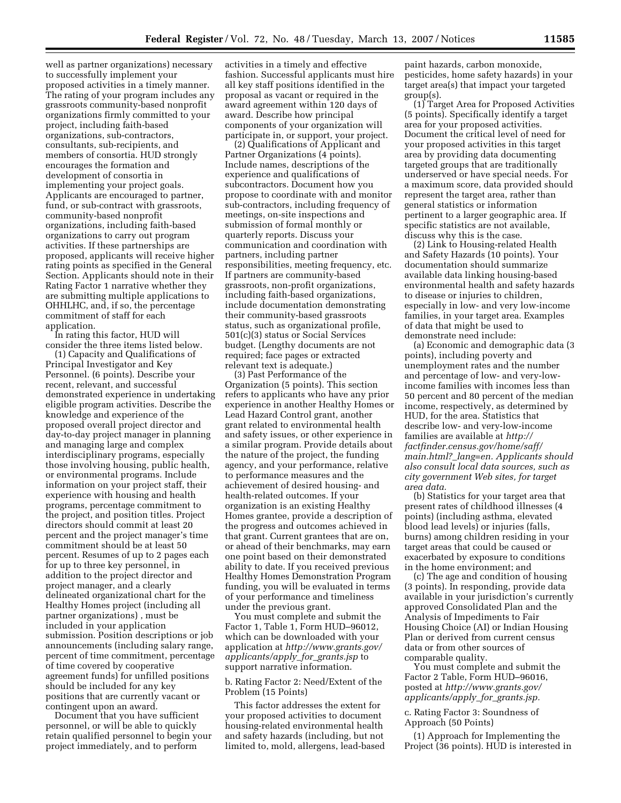well as partner organizations) necessary to successfully implement your proposed activities in a timely manner. The rating of your program includes any grassroots community-based nonprofit organizations firmly committed to your project, including faith-based organizations, sub-contractors, consultants, sub-recipients, and members of consortia. HUD strongly encourages the formation and development of consortia in implementing your project goals. Applicants are encouraged to partner, fund, or sub-contract with grassroots, community-based nonprofit organizations, including faith-based organizations to carry out program activities. If these partnerships are proposed, applicants will receive higher rating points as specified in the General Section. Applicants should note in their Rating Factor 1 narrative whether they are submitting multiple applications to OHHLHC, and, if so, the percentage commitment of staff for each application.

In rating this factor, HUD will consider the three items listed below.

(1) Capacity and Qualifications of Principal Investigator and Key Personnel. (6 points). Describe your recent, relevant, and successful demonstrated experience in undertaking eligible program activities. Describe the knowledge and experience of the proposed overall project director and day-to-day project manager in planning and managing large and complex interdisciplinary programs, especially those involving housing, public health, or environmental programs. Include information on your project staff, their experience with housing and health programs, percentage commitment to the project, and position titles. Project directors should commit at least 20 percent and the project manager's time commitment should be at least 50 percent. Resumes of up to 2 pages each for up to three key personnel, in addition to the project director and project manager, and a clearly delineated organizational chart for the Healthy Homes project (including all partner organizations) , must be included in your application submission. Position descriptions or job announcements (including salary range, percent of time commitment, percentage of time covered by cooperative agreement funds) for unfilled positions should be included for any key positions that are currently vacant or contingent upon an award.

Document that you have sufficient personnel, or will be able to quickly retain qualified personnel to begin your project immediately, and to perform

activities in a timely and effective fashion. Successful applicants must hire all key staff positions identified in the proposal as vacant or required in the award agreement within 120 days of award. Describe how principal components of your organization will participate in, or support, your project.

(2) Qualifications of Applicant and Partner Organizations (4 points). Include names, descriptions of the experience and qualifications of subcontractors. Document how you propose to coordinate with and monitor sub-contractors, including frequency of meetings, on-site inspections and submission of formal monthly or quarterly reports. Discuss your communication and coordination with partners, including partner responsibilities, meeting frequency, etc. If partners are community-based grassroots, non-profit organizations, including faith-based organizations, include documentation demonstrating their community-based grassroots status, such as organizational profile, 501(c)(3) status or Social Services budget. (Lengthy documents are not required; face pages or extracted relevant text is adequate.)

(3) Past Performance of the Organization (5 points). This section refers to applicants who have any prior experience in another Healthy Homes or Lead Hazard Control grant, another grant related to environmental health and safety issues, or other experience in a similar program. Provide details about the nature of the project, the funding agency, and your performance, relative to performance measures and the achievement of desired housing- and health-related outcomes. If your organization is an existing Healthy Homes grantee, provide a description of the progress and outcomes achieved in that grant. Current grantees that are on, or ahead of their benchmarks, may earn one point based on their demonstrated ability to date. If you received previous Healthy Homes Demonstration Program funding, you will be evaluated in terms of your performance and timeliness under the previous grant.

You must complete and submit the Factor 1, Table 1, Form HUD–96012, which can be downloaded with your application at *http://www.grants.gov/ applicants/apply*\_*for*\_*grants.jsp* to support narrative information.

b. Rating Factor 2: Need/Extent of the Problem (15 Points)

This factor addresses the extent for your proposed activities to document housing-related environmental health and safety hazards (including, but not limited to, mold, allergens, lead-based

paint hazards, carbon monoxide, pesticides, home safety hazards) in your target area(s) that impact your targeted group(s).

(1) Target Area for Proposed Activities (5 points). Specifically identify a target area for your proposed activities. Document the critical level of need for your proposed activities in this target area by providing data documenting targeted groups that are traditionally underserved or have special needs. For a maximum score, data provided should represent the target area, rather than general statistics or information pertinent to a larger geographic area. If specific statistics are not available, discuss why this is the case.

(2) Link to Housing-related Health and Safety Hazards (10 points). Your documentation should summarize available data linking housing-based environmental health and safety hazards to disease or injuries to children, especially in low- and very low-income families, in your target area. Examples of data that might be used to demonstrate need include:

(a) Economic and demographic data (3 points), including poverty and unemployment rates and the number and percentage of low- and very-lowincome families with incomes less than 50 percent and 80 percent of the median income, respectively, as determined by HUD, for the area. Statistics that describe low- and very-low-income families are available at *http:// factfinder.census.gov/home/saff/ main.html?*\_*lang=en. Applicants should also consult local data sources, such as city government Web sites, for target area data.* 

(b) Statistics for your target area that present rates of childhood illnesses (4 points) (including asthma, elevated blood lead levels) or injuries (falls, burns) among children residing in your target areas that could be caused or exacerbated by exposure to conditions in the home environment; and

(c) The age and condition of housing (3 points). In responding, provide data available in your jurisdiction's currently approved Consolidated Plan and the Analysis of Impediments to Fair Housing Choice (AI) or Indian Housing Plan or derived from current census data or from other sources of comparable quality.

You must complete and submit the Factor 2 Table, Form HUD–96016, posted at *http://www.grants.gov/ applicants/apply*\_*for*\_*grants.jsp.* 

c. Rating Factor 3: Soundness of Approach (50 Points)

(1) Approach for Implementing the Project (36 points). HUD is interested in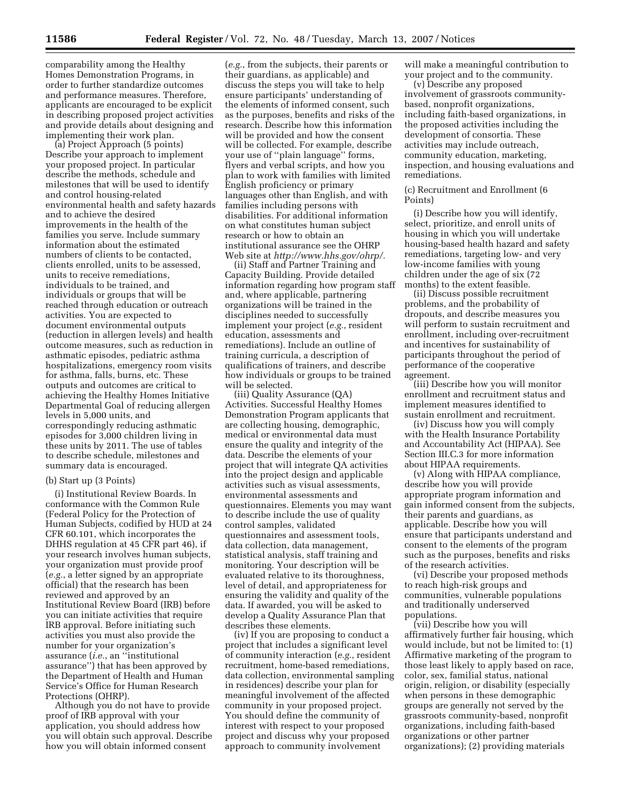comparability among the Healthy Homes Demonstration Programs, in order to further standardize outcomes and performance measures. Therefore, applicants are encouraged to be explicit in describing proposed project activities and provide details about designing and implementing their work plan.

(a) Project Approach (5 points) Describe your approach to implement your proposed project. In particular describe the methods, schedule and milestones that will be used to identify and control housing-related environmental health and safety hazards and to achieve the desired improvements in the health of the families you serve. Include summary information about the estimated numbers of clients to be contacted, clients enrolled, units to be assessed, units to receive remediations, individuals to be trained, and individuals or groups that will be reached through education or outreach activities. You are expected to document environmental outputs (reduction in allergen levels) and health outcome measures, such as reduction in asthmatic episodes, pediatric asthma hospitalizations, emergency room visits for asthma, falls, burns, etc. These outputs and outcomes are critical to achieving the Healthy Homes Initiative Departmental Goal of reducing allergen levels in 5,000 units, and correspondingly reducing asthmatic episodes for 3,000 children living in these units by 2011. The use of tables to describe schedule, milestones and summary data is encouraged.

#### (b) Start up (3 Points)

(i) Institutional Review Boards. In conformance with the Common Rule (Federal Policy for the Protection of Human Subjects, codified by HUD at 24 CFR 60.101, which incorporates the DHHS regulation at 45 CFR part 46), if your research involves human subjects, your organization must provide proof (*e.g.*, a letter signed by an appropriate official) that the research has been reviewed and approved by an Institutional Review Board (IRB) before you can initiate activities that require IRB approval. Before initiating such activities you must also provide the number for your organization's assurance (*i.e.*, an ''institutional assurance'') that has been approved by the Department of Health and Human Service's Office for Human Research Protections (OHRP).

Although you do not have to provide proof of IRB approval with your application, you should address how you will obtain such approval. Describe how you will obtain informed consent

(*e.g.*, from the subjects, their parents or their guardians, as applicable) and discuss the steps you will take to help ensure participants' understanding of the elements of informed consent, such as the purposes, benefits and risks of the research. Describe how this information will be provided and how the consent will be collected. For example, describe your use of ''plain language'' forms, flyers and verbal scripts, and how you plan to work with families with limited English proficiency or primary languages other than English, and with families including persons with disabilities. For additional information on what constitutes human subject research or how to obtain an institutional assurance see the OHRP Web site at *http://www.hhs.gov/ohrp/.* 

(ii) Staff and Partner Training and Capacity Building. Provide detailed information regarding how program staff and, where applicable, partnering organizations will be trained in the disciplines needed to successfully implement your project (*e.g.*, resident education, assessments and remediations). Include an outline of training curricula, a description of qualifications of trainers, and describe how individuals or groups to be trained will be selected.

(iii) Quality Assurance (QA) Activities. Successful Healthy Homes Demonstration Program applicants that are collecting housing, demographic, medical or environmental data must ensure the quality and integrity of the data. Describe the elements of your project that will integrate QA activities into the project design and applicable activities such as visual assessments, environmental assessments and questionnaires. Elements you may want to describe include the use of quality control samples, validated questionnaires and assessment tools, data collection, data management, statistical analysis, staff training and monitoring. Your description will be evaluated relative to its thoroughness, level of detail, and appropriateness for ensuring the validity and quality of the data. If awarded, you will be asked to develop a Quality Assurance Plan that describes these elements.

(iv) If you are proposing to conduct a project that includes a significant level of community interaction (*e.g.*, resident recruitment, home-based remediations, data collection, environmental sampling in residences) describe your plan for meaningful involvement of the affected community in your proposed project. You should define the community of interest with respect to your proposed project and discuss why your proposed approach to community involvement

will make a meaningful contribution to your project and to the community.

(v) Describe any proposed involvement of grassroots communitybased, nonprofit organizations, including faith-based organizations, in the proposed activities including the development of consortia. These activities may include outreach, community education, marketing, inspection, and housing evaluations and remediations.

(c) Recruitment and Enrollment (6 Points)

(i) Describe how you will identify, select, prioritize, and enroll units of housing in which you will undertake housing-based health hazard and safety remediations, targeting low- and very low-income families with young children under the age of six (72 months) to the extent feasible.

(ii) Discuss possible recruitment problems, and the probability of dropouts, and describe measures you will perform to sustain recruitment and enrollment, including over-recruitment and incentives for sustainability of participants throughout the period of performance of the cooperative agreement.

(iii) Describe how you will monitor enrollment and recruitment status and implement measures identified to sustain enrollment and recruitment.

(iv) Discuss how you will comply with the Health Insurance Portability and Accountability Act (HIPAA). See Section III.C.3 for more information about HIPAA requirements.

(v) Along with HIPAA compliance, describe how you will provide appropriate program information and gain informed consent from the subjects, their parents and guardians, as applicable. Describe how you will ensure that participants understand and consent to the elements of the program such as the purposes, benefits and risks of the research activities.

(vi) Describe your proposed methods to reach high-risk groups and communities, vulnerable populations and traditionally underserved populations.

(vii) Describe how you will affirmatively further fair housing, which would include, but not be limited to: (1) Affirmative marketing of the program to those least likely to apply based on race, color, sex, familial status, national origin, religion, or disability (especially when persons in these demographic groups are generally not served by the grassroots community-based, nonprofit organizations, including faith-based organizations or other partner organizations); (2) providing materials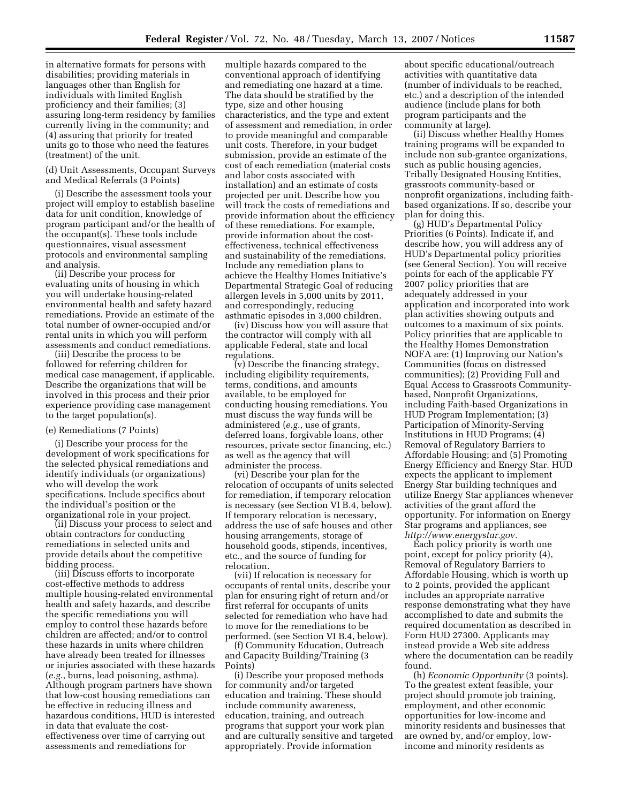in alternative formats for persons with disabilities; providing materials in languages other than English for individuals with limited English proficiency and their families; (3) assuring long-term residency by families currently living in the community; and (4) assuring that priority for treated units go to those who need the features (treatment) of the unit.

#### (d) Unit Assessments, Occupant Surveys and Medical Referrals (3 Points)

(i) Describe the assessment tools your project will employ to establish baseline data for unit condition, knowledge of program participant and/or the health of the occupant(s). These tools include questionnaires, visual assessment protocols and environmental sampling and analysis.

(ii) Describe your process for evaluating units of housing in which you will undertake housing-related environmental health and safety hazard remediations. Provide an estimate of the total number of owner-occupied and/or rental units in which you will perform assessments and conduct remediations.

(iii) Describe the process to be followed for referring children for medical case management, if applicable. Describe the organizations that will be involved in this process and their prior experience providing case management to the target population(s).

#### (e) Remediations (7 Points)

(i) Describe your process for the development of work specifications for the selected physical remediations and identify individuals (or organizations) who will develop the work specifications. Include specifics about the individual's position or the organizational role in your project.

(ii) Discuss your process to select and obtain contractors for conducting remediations in selected units and provide details about the competitive bidding process.

(iii) Discuss efforts to incorporate cost-effective methods to address multiple housing-related environmental health and safety hazards, and describe the specific remediations you will employ to control these hazards before children are affected; and/or to control these hazards in units where children have already been treated for illnesses or injuries associated with these hazards (*e.g.*, burns, lead poisoning, asthma). Although program partners have shown that low-cost housing remediations can be effective in reducing illness and hazardous conditions, HUD is interested in data that evaluate the costeffectiveness over time of carrying out assessments and remediations for

multiple hazards compared to the conventional approach of identifying and remediating one hazard at a time. The data should be stratified by the type, size and other housing characteristics, and the type and extent of assessment and remediation, in order to provide meaningful and comparable unit costs. Therefore, in your budget submission, provide an estimate of the cost of each remediation (material costs and labor costs associated with installation) and an estimate of costs projected per unit. Describe how you will track the costs of remediations and provide information about the efficiency of these remediations. For example, provide information about the costeffectiveness, technical effectiveness and sustainability of the remediations. Include any remediation plans to achieve the Healthy Homes Initiative's Departmental Strategic Goal of reducing allergen levels in 5,000 units by 2011, and correspondingly, reducing asthmatic episodes in 3,000 children.

(iv) Discuss how you will assure that the contractor will comply with all applicable Federal, state and local regulations.

(v) Describe the financing strategy, including eligibility requirements, terms, conditions, and amounts available, to be employed for conducting housing remediations. You must discuss the way funds will be administered (*e.g.*, use of grants, deferred loans, forgivable loans, other resources, private sector financing, etc.) as well as the agency that will administer the process.

(vi) Describe your plan for the relocation of occupants of units selected for remediation, if temporary relocation is necessary (see Section VI B.4, below). If temporary relocation is necessary, address the use of safe houses and other housing arrangements, storage of household goods, stipends, incentives, etc., and the source of funding for relocation.

(vii) If relocation is necessary for occupants of rental units, describe your plan for ensuring right of return and/or first referral for occupants of units selected for remediation who have had to move for the remediations to be performed. (see Section VI B.4, below).

(f) Community Education, Outreach and Capacity Building/Training (3 Points)

(i) Describe your proposed methods for community and/or targeted education and training. These should include community awareness, education, training, and outreach programs that support your work plan and are culturally sensitive and targeted appropriately. Provide information

about specific educational/outreach activities with quantitative data (number of individuals to be reached, etc.) and a description of the intended audience (include plans for both program participants and the community at large).

(ii) Discuss whether Healthy Homes training programs will be expanded to include non sub-grantee organizations, such as public housing agencies, Tribally Designated Housing Entities, grassroots community-based or nonprofit organizations, including faithbased organizations. If so, describe your plan for doing this.

(g) HUD's Departmental Policy Priorities (6 Points). Indicate if, and describe how, you will address any of HUD's Departmental policy priorities (see General Section). You will receive points for each of the applicable FY 2007 policy priorities that are adequately addressed in your application and incorporated into work plan activities showing outputs and outcomes to a maximum of six points. Policy priorities that are applicable to the Healthy Homes Demonstration NOFA are: (1) Improving our Nation's Communities (focus on distressed communities); (2) Providing Full and Equal Access to Grassroots Communitybased, Nonprofit Organizations, including Faith-based Organizations in HUD Program Implementation; (3) Participation of Minority-Serving Institutions in HUD Programs; (4) Removal of Regulatory Barriers to Affordable Housing; and (5) Promoting Energy Efficiency and Energy Star. HUD expects the applicant to implement Energy Star building techniques and utilize Energy Star appliances whenever activities of the grant afford the opportunity. For information on Energy Star programs and appliances, see *http://www.energystar.gov.* 

Each policy priority is worth one point, except for policy priority (4), Removal of Regulatory Barriers to Affordable Housing, which is worth up to 2 points, provided the applicant includes an appropriate narrative response demonstrating what they have accomplished to date and submits the required documentation as described in Form HUD 27300. Applicants may instead provide a Web site address where the documentation can be readily found.

(h) *Economic Opportunity* (3 points). To the greatest extent feasible, your project should promote job training, employment, and other economic opportunities for low-income and minority residents and businesses that are owned by, and/or employ, lowincome and minority residents as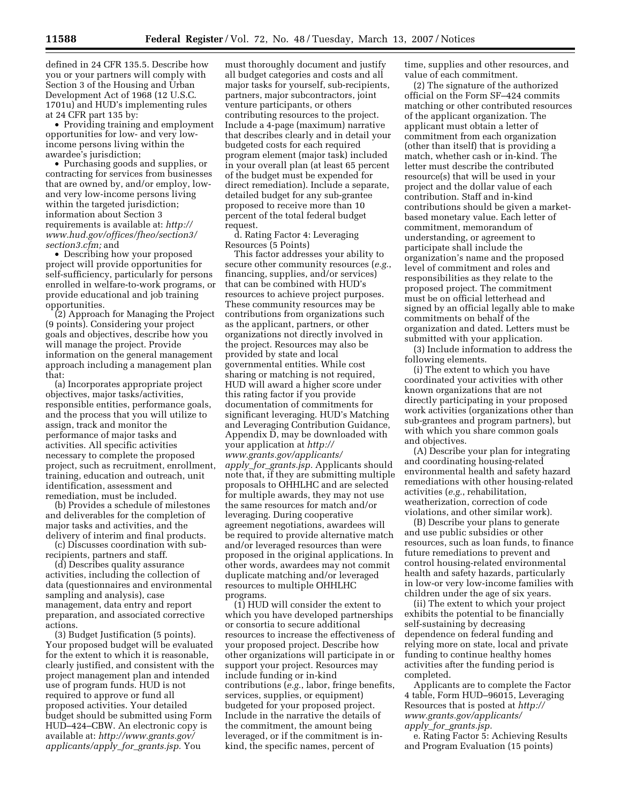defined in 24 CFR 135.5. Describe how you or your partners will comply with Section 3 of the Housing and Urban Development Act of 1968 (12 U.S.C. 1701u) and HUD's implementing rules at 24 CFR part 135 by:

• Providing training and employment opportunities for low- and very lowincome persons living within the awardee's jurisdiction;

• Purchasing goods and supplies, or contracting for services from businesses that are owned by, and/or employ, lowand very low-income persons living within the targeted jurisdiction; information about Section 3 requirements is available at: *http:// www.hud.gov/offices/fheo/section3/ section3.cfm;* and

• Describing how your proposed project will provide opportunities for self-sufficiency, particularly for persons enrolled in welfare-to-work programs, or provide educational and job training opportunities.

(2) Approach for Managing the Project (9 points). Considering your project goals and objectives, describe how you will manage the project. Provide information on the general management approach including a management plan that:

(a) Incorporates appropriate project objectives, major tasks/activities, responsible entities, performance goals, and the process that you will utilize to assign, track and monitor the performance of major tasks and activities. All specific activities necessary to complete the proposed project, such as recruitment, enrollment, training, education and outreach, unit identification, assessment and remediation, must be included.

(b) Provides a schedule of milestones and deliverables for the completion of major tasks and activities, and the delivery of interim and final products.

(c) Discusses coordination with subrecipients, partners and staff.

(d) Describes quality assurance activities, including the collection of data (questionnaires and environmental sampling and analysis), case management, data entry and report preparation, and associated corrective actions.

(3) Budget Justification (5 points). Your proposed budget will be evaluated for the extent to which it is reasonable, clearly justified, and consistent with the project management plan and intended use of program funds. HUD is not required to approve or fund all proposed activities. Your detailed budget should be submitted using Form HUD–424–CBW. An electronic copy is available at: *http://www.grants.gov/ applicants/apply*\_*for*\_*grants.jsp.* You

must thoroughly document and justify all budget categories and costs and all major tasks for yourself, sub-recipients, partners, major subcontractors, joint venture participants, or others contributing resources to the project. Include a 4-page (maximum) narrative that describes clearly and in detail your budgeted costs for each required program element (major task) included in your overall plan (at least 65 percent of the budget must be expended for direct remediation). Include a separate, detailed budget for any sub-grantee proposed to receive more than 10 percent of the total federal budget request.

d. Rating Factor 4: Leveraging Resources (5 Points)

This factor addresses your ability to secure other community resources (*e.g.*, financing, supplies, and/or services) that can be combined with HUD's resources to achieve project purposes. These community resources may be contributions from organizations such as the applicant, partners, or other organizations not directly involved in the project. Resources may also be provided by state and local governmental entities. While cost sharing or matching is not required, HUD will award a higher score under this rating factor if you provide documentation of commitments for significant leveraging. HUD's Matching and Leveraging Contribution Guidance, Appendix D, may be downloaded with your application at *http:// www.grants.gov/applicants/ apply*\_*for*\_*grants.jsp.* Applicants should note that, if they are submitting multiple proposals to OHHLHC and are selected for multiple awards, they may not use the same resources for match and/or leveraging. During cooperative agreement negotiations, awardees will be required to provide alternative match and/or leveraged resources than were proposed in the original applications. In other words, awardees may not commit duplicate matching and/or leveraged resources to multiple OHHLHC programs.

(1) HUD will consider the extent to which you have developed partnerships or consortia to secure additional resources to increase the effectiveness of your proposed project. Describe how other organizations will participate in or support your project. Resources may include funding or in-kind contributions (*e.g.*, labor, fringe benefits, services, supplies, or equipment) budgeted for your proposed project. Include in the narrative the details of the commitment, the amount being leveraged, or if the commitment is inkind, the specific names, percent of

time, supplies and other resources, and value of each commitment.

(2) The signature of the authorized official on the Form SF–424 commits matching or other contributed resources of the applicant organization. The applicant must obtain a letter of commitment from each organization (other than itself) that is providing a match, whether cash or in-kind. The letter must describe the contributed resource(s) that will be used in your project and the dollar value of each contribution. Staff and in-kind contributions should be given a marketbased monetary value. Each letter of commitment, memorandum of understanding, or agreement to participate shall include the organization's name and the proposed level of commitment and roles and responsibilities as they relate to the proposed project. The commitment must be on official letterhead and signed by an official legally able to make commitments on behalf of the organization and dated. Letters must be submitted with your application.

(3) Include information to address the following elements.

(i) The extent to which you have coordinated your activities with other known organizations that are not directly participating in your proposed work activities (organizations other than sub-grantees and program partners), but with which you share common goals and objectives.

(A) Describe your plan for integrating and coordinating housing-related environmental health and safety hazard remediations with other housing-related activities (*e.g.*, rehabilitation, weatherization, correction of code violations, and other similar work).

(B) Describe your plans to generate and use public subsidies or other resources, such as loan funds, to finance future remediations to prevent and control housing-related environmental health and safety hazards, particularly in low-or very low-income families with children under the age of six years.

(ii) The extent to which your project exhibits the potential to be financially self-sustaining by decreasing dependence on federal funding and relying more on state, local and private funding to continue healthy homes activities after the funding period is completed.

Applicants are to complete the Factor 4 table, Form HUD–96015, Leveraging Resources that is posted at *http:// www.grants.gov/applicants/ apply*\_*for*\_*grants.jsp.* 

e. Rating Factor 5: Achieving Results and Program Evaluation (15 points)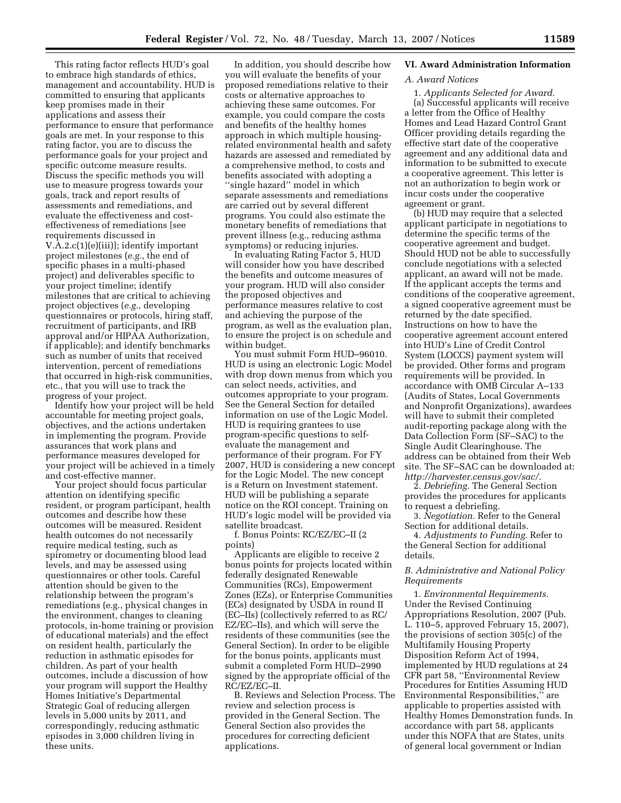This rating factor reflects HUD's goal to embrace high standards of ethics, management and accountability. HUD is committed to ensuring that applicants keep promises made in their applications and assess their performance to ensure that performance goals are met. In your response to this rating factor, you are to discuss the performance goals for your project and specific outcome measure results. Discuss the specific methods you will use to measure progress towards your goals, track and report results of assessments and remediations, and evaluate the effectiveness and costeffectiveness of remediations [see requirements discussed in V.A.2.c(1)(e)(iii)]; identify important project milestones (*e.g.*, the end of specific phases in a multi-phased project) and deliverables specific to your project timeline; identify milestones that are critical to achieving project objectives (*e.g.*, developing questionnaires or protocols, hiring staff, recruitment of participants, and IRB approval and/or HIPAA Authorization, if applicable); and identify benchmarks such as number of units that received intervention, percent of remediations that occurred in high-risk communities, etc., that you will use to track the progress of your project.

Identify how your project will be held accountable for meeting project goals, objectives, and the actions undertaken in implementing the program. Provide assurances that work plans and performance measures developed for your project will be achieved in a timely and cost-effective manner.

Your project should focus particular attention on identifying specific resident, or program participant, health outcomes and describe how these outcomes will be measured. Resident health outcomes do not necessarily require medical testing, such as spirometry or documenting blood lead levels, and may be assessed using questionnaires or other tools. Careful attention should be given to the relationship between the program's remediations (e.g., physical changes in the environment, changes to cleaning protocols, in-home training or provision of educational materials) and the effect on resident health, particularly the reduction in asthmatic episodes for children. As part of your health outcomes, include a discussion of how your program will support the Healthy Homes Initiative's Departmental Strategic Goal of reducing allergen levels in 5,000 units by 2011, and correspondingly, reducing asthmatic episodes in 3,000 children living in these units.

In addition, you should describe how you will evaluate the benefits of your proposed remediations relative to their costs or alternative approaches to achieving these same outcomes. For example, you could compare the costs and benefits of the healthy homes approach in which multiple housingrelated environmental health and safety hazards are assessed and remediated by a comprehensive method, to costs and benefits associated with adopting a ''single hazard'' model in which separate assessments and remediations are carried out by several different programs. You could also estimate the monetary benefits of remediations that prevent illness (e.g., reducing asthma symptoms) or reducing injuries.

In evaluating Rating Factor 5, HUD will consider how you have described the benefits and outcome measures of your program. HUD will also consider the proposed objectives and performance measures relative to cost and achieving the purpose of the program, as well as the evaluation plan, to ensure the project is on schedule and within budget.

You must submit Form HUD–96010. HUD is using an electronic Logic Model with drop down menus from which you can select needs, activities, and outcomes appropriate to your program. See the General Section for detailed information on use of the Logic Model. HUD is requiring grantees to use program-specific questions to selfevaluate the management and performance of their program. For FY 2007, HUD is considering a new concept for the Logic Model. The new concept is a Return on Investment statement. HUD will be publishing a separate notice on the ROI concept. Training on HUD's logic model will be provided via satellite broadcast.

f. Bonus Points: RC/EZ/EC–II (2 points)

Applicants are eligible to receive 2 bonus points for projects located within federally designated Renewable Communities (RCs), Empowerment Zones (EZs), or Enterprise Communities (ECs) designated by USDA in round II (EC–IIs) (collectively referred to as RC/ EZ/EC–IIs), and which will serve the residents of these communities (see the General Section). In order to be eligible for the bonus points, applicants must submit a completed Form HUD–2990 signed by the appropriate official of the RC/EZ/EC–II.

B. Reviews and Selection Process. The review and selection process is provided in the General Section. The General Section also provides the procedures for correcting deficient applications.

# **VI. Award Administration Information**

#### *A. Award Notices*

1. *Applicants Selected for Award.*  (a) Successful applicants will receive a letter from the Office of Healthy Homes and Lead Hazard Control Grant Officer providing details regarding the effective start date of the cooperative agreement and any additional data and information to be submitted to execute a cooperative agreement. This letter is not an authorization to begin work or incur costs under the cooperative agreement or grant.

(b) HUD may require that a selected applicant participate in negotiations to determine the specific terms of the cooperative agreement and budget. Should HUD not be able to successfully conclude negotiations with a selected applicant, an award will not be made. If the applicant accepts the terms and conditions of the cooperative agreement, a signed cooperative agreement must be returned by the date specified. Instructions on how to have the cooperative agreement account entered into HUD's Line of Credit Control System (LOCCS) payment system will be provided. Other forms and program requirements will be provided. In accordance with OMB Circular A–133 (Audits of States, Local Governments and Nonprofit Organizations), awardees will have to submit their completed audit-reporting package along with the Data Collection Form (SF–SAC) to the Single Audit Clearinghouse. The address can be obtained from their Web site. The SF–SAC can be downloaded at: *http://harvester.census.gov/sac/.* 

2. *Debriefing.* The General Section provides the procedures for applicants to request a debriefing.

3. *Negotiation.* Refer to the General Section for additional details.

4. *Adjustments to Funding.* Refer to the General Section for additional details.

# *B. Administrative and National Policy Requirements*

1. *Environmental Requirements.*  Under the Revised Continuing Appropriations Resolution, 2007 (Pub. L. 110–5, approved February 15, 2007), the provisions of section 305(c) of the Multifamily Housing Property Disposition Reform Act of 1994, implemented by HUD regulations at 24 CFR part 58, ''Environmental Review Procedures for Entities Assuming HUD Environmental Responsibilities,'' are applicable to properties assisted with Healthy Homes Demonstration funds. In accordance with part 58, applicants under this NOFA that are States, units of general local government or Indian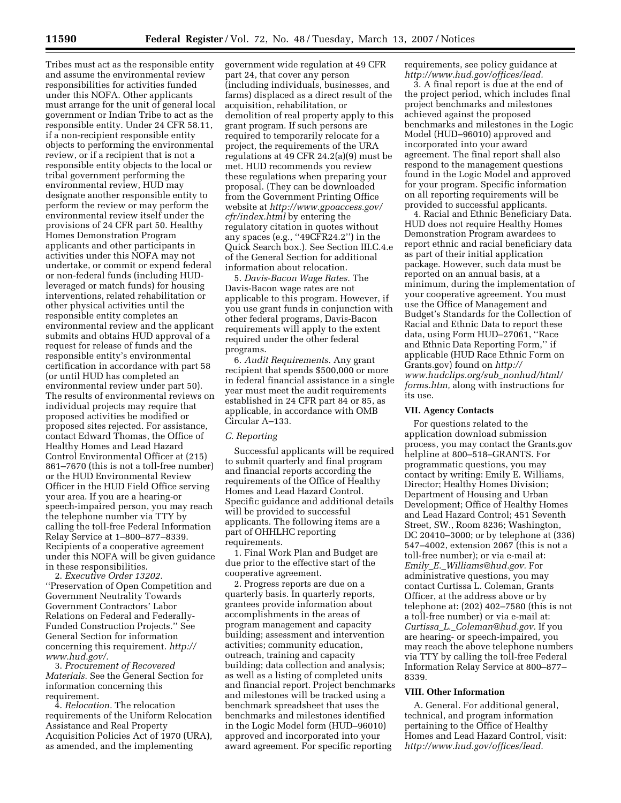Tribes must act as the responsible entity and assume the environmental review responsibilities for activities funded under this NOFA. Other applicants must arrange for the unit of general local government or Indian Tribe to act as the responsible entity. Under 24 CFR 58.11, if a non-recipient responsible entity objects to performing the environmental review, or if a recipient that is not a responsible entity objects to the local or tribal government performing the environmental review, HUD may designate another responsible entity to perform the review or may perform the environmental review itself under the provisions of 24 CFR part 50. Healthy Homes Demonstration Program applicants and other participants in activities under this NOFA may not undertake, or commit or expend federal or non-federal funds (including HUDleveraged or match funds) for housing interventions, related rehabilitation or other physical activities until the responsible entity completes an environmental review and the applicant submits and obtains HUD approval of a request for release of funds and the responsible entity's environmental certification in accordance with part 58 (or until HUD has completed an environmental review under part 50). The results of environmental reviews on individual projects may require that proposed activities be modified or proposed sites rejected. For assistance, contact Edward Thomas, the Office of Healthy Homes and Lead Hazard Control Environmental Officer at (215) 861–7670 (this is not a toll-free number) or the HUD Environmental Review Officer in the HUD Field Office serving your area. If you are a hearing-or speech-impaired person, you may reach the telephone number via TTY by calling the toll-free Federal Information Relay Service at 1–800–877–8339. Recipients of a cooperative agreement under this NOFA will be given guidance in these responsibilities.

2. *Executive Order 13202.*  ''Preservation of Open Competition and Government Neutrality Towards Government Contractors' Labor Relations on Federal and Federally-Funded Construction Projects.'' See General Section for information concerning this requirement. *http:// www.hud.gov/.* 

3. *Procurement of Recovered Materials.* See the General Section for information concerning this requirement.

4. *Relocation.* The relocation requirements of the Uniform Relocation Assistance and Real Property Acquisition Policies Act of 1970 (URA), as amended, and the implementing

government wide regulation at 49 CFR part 24, that cover any person (including individuals, businesses, and farms) displaced as a direct result of the acquisition, rehabilitation, or demolition of real property apply to this grant program. If such persons are required to temporarily relocate for a project, the requirements of the URA regulations at 49 CFR 24.2(a)(9) must be met. HUD recommends you review these regulations when preparing your proposal. (They can be downloaded from the Government Printing Office website at *http://www.gpoaccess.gov/ cfr/index.html* by entering the regulatory citation in quotes without any spaces (e.g., ''49CFR24.2'') in the Quick Search box.). See Section III.C.4.e of the General Section for additional information about relocation.

5. *Davis-Bacon Wage Rates.* The Davis-Bacon wage rates are not applicable to this program. However, if you use grant funds in conjunction with other federal programs, Davis-Bacon requirements will apply to the extent required under the other federal programs.

6. *Audit Requirements.* Any grant recipient that spends \$500,000 or more in federal financial assistance in a single year must meet the audit requirements established in 24 CFR part 84 or 85, as applicable, in accordance with OMB Circular A–133.

#### *C. Reporting*

Successful applicants will be required to submit quarterly and final program and financial reports according the requirements of the Office of Healthy Homes and Lead Hazard Control. Specific guidance and additional details will be provided to successful applicants. The following items are a part of OHHLHC reporting requirements.

1. Final Work Plan and Budget are due prior to the effective start of the cooperative agreement.

2. Progress reports are due on a quarterly basis. In quarterly reports, grantees provide information about accomplishments in the areas of program management and capacity building; assessment and intervention activities; community education, outreach, training and capacity building; data collection and analysis; as well as a listing of completed units and financial report. Project benchmarks and milestones will be tracked using a benchmark spreadsheet that uses the benchmarks and milestones identified in the Logic Model form (HUD–96010) approved and incorporated into your award agreement. For specific reporting

requirements, see policy guidance at *http://www.hud.gov/offices/lead.* 

3. A final report is due at the end of the project period, which includes final project benchmarks and milestones achieved against the proposed benchmarks and milestones in the Logic Model (HUD–96010) approved and incorporated into your award agreement. The final report shall also respond to the management questions found in the Logic Model and approved for your program. Specific information on all reporting requirements will be provided to successful applicants.

4. Racial and Ethnic Beneficiary Data. HUD does not require Healthy Homes Demonstration Program awardees to report ethnic and racial beneficiary data as part of their initial application package. However, such data must be reported on an annual basis, at a minimum, during the implementation of your cooperative agreement. You must use the Office of Management and Budget's Standards for the Collection of Racial and Ethnic Data to report these data, using Form HUD–27061, ''Race and Ethnic Data Reporting Form,'' if applicable (HUD Race Ethnic Form on Grants.gov) found on *http:// www.hudclips.org/sub*\_*nonhud/html/ forms.htm,* along with instructions for its use.

# **VII. Agency Contacts**

For questions related to the application download submission process, you may contact the Grants.gov helpline at 800–518–GRANTS. For programmatic questions, you may contact by writing: Emily E. Williams, Director; Healthy Homes Division; Department of Housing and Urban Development; Office of Healthy Homes and Lead Hazard Control; 451 Seventh Street, SW., Room 8236; Washington, DC 20410–3000; or by telephone at (336) 547–4002, extension 2067 (this is not a toll-free number); or via e-mail at: *Emily*\_*E.*\_*Williams@hud.gov.* For administrative questions, you may contact Curtissa L. Coleman, Grants Officer, at the address above or by telephone at: (202) 402–7580 (this is not a toll-free number) or via e-mail at: *Curtissa*\_*L.*\_*Coleman@hud.gov.* If you are hearing- or speech-impaired, you may reach the above telephone numbers via TTY by calling the toll-free Federal Information Relay Service at 800–877– 8339.

#### **VIII. Other Information**

A. General. For additional general, technical, and program information pertaining to the Office of Healthy Homes and Lead Hazard Control, visit: *http://www.hud.gov/offices/lead.*